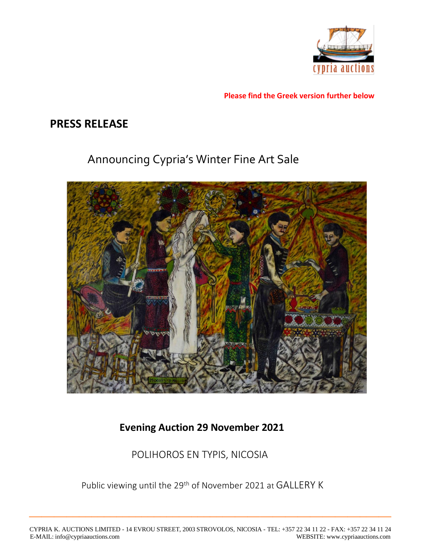

**Please find the Greek version further below**

## **PRESS RELEASE**

# Announcing Cypria's Winter Fine Art Sale



### **Evening Auction 29 November 2021**

POLIHOROS EN TYPIS, NICOSIA

Public viewing until the 29<sup>th</sup> of November 2021 at GALLERY K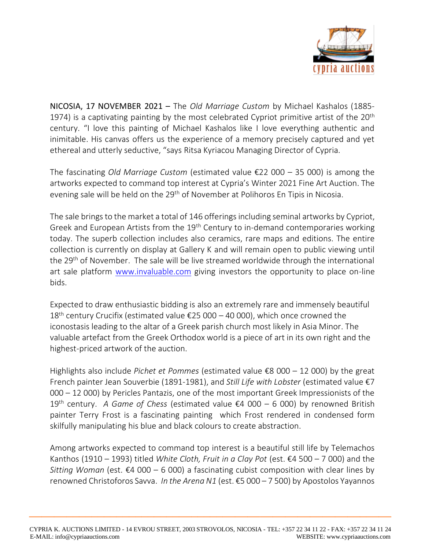

NICOSIA, 17 NOVEMBER 2021 – The *Old Marriage Custom* by Michael Kashalos (1885- 1974) is a captivating painting by the most celebrated Cypriot primitive artist of the  $20<sup>th</sup>$ century. "I love this painting of Michael Kashalos like I love everything authentic and inimitable. His canvas offers us the experience of a memory precisely captured and yet ethereal and utterly seductive, "says Ritsa Kyriacou Managing Director of Cypria.

The fascinating *Old Marriage Custom* (estimated value €22 000 – 35 000) is among the artworks expected to command top interest at Cypria's Winter 2021 Fine Art Auction. The evening sale will be held on the 29<sup>th</sup> of November at Polihoros En Tipis in Nicosia.

The sale brings to the market a total of 146 offerings including seminal artworks by Cypriot, Greek and European Artists from the 19<sup>th</sup> Century to in-demand contemporaries working today. The superb collection includes also ceramics, rare maps and editions. The entire collection is currently on display at Gallery K and will remain open to public viewing until the 29<sup>th</sup> of November. The sale will be live streamed worldwide through the international art sale platform [www.invaluable.com](https://www.invaluable.com/auction-house/cypria-auctions-45o5wr14s7) giving investors the opportunity to place on-line bids.

Expected to draw enthusiastic bidding is also an extremely rare and immensely beautiful 18<sup>th</sup> century Crucifix (estimated value €25 000 – 40 000), which once crowned the iconostasis leading to the altar of a Greek parish church most likely in Asia Minor. The valuable artefact from the Greek Orthodox world is a piece of art in its own right and the highest-priced artwork of the auction.

Highlights also include *Pichet et Pommes* (estimated value €8 000 – 12 000) by the great French painter Jean Souverbie (1891-1981), and *Still Life with Lobster* (estimated value €7 000 – 12 000) by Pericles Pantazis, one of the most important Greek Impressionists of the 19th century. *A Game of Chess* (estimated value €4 000 – 6 000) by renowned British painter Terry Frost is a fascinating painting which Frost rendered in condensed form skilfully manipulating his blue and black colours to create abstraction.

Among artworks expected to command top interest is a beautiful still life by Telemachos Kanthos (1910 – 1993) titled *White Cloth, Fruit in a Clay Pot* (est. €4 500 – 7 000) and the *Sitting Woman* (est.  $\epsilon$ 4 000 – 6 000) a fascinating cubist composition with clear lines by renowned Christoforos Savva. *In the Arena N1* (est. €5 000 – 7 500) by Apostolos Yayannos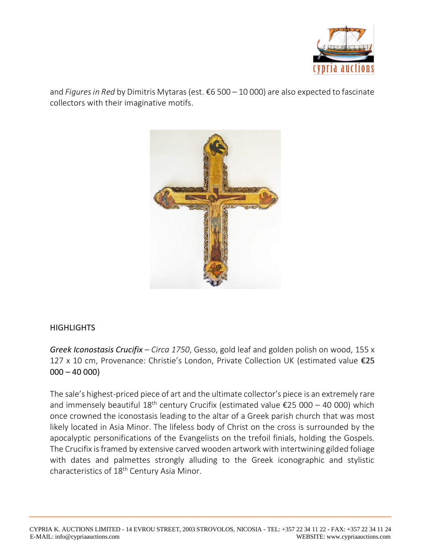

and *Figures in Red* by Dimitris Mytaras (est. €6 500 – 10 000) are also expected to fascinate collectors with their imaginative motifs.



#### **HIGHLIGHTS**

*Greek Iconostasis Crucifix – Circa 1750*, Gesso, gold leaf and golden polish on wood, 155 x 127 x 10 cm, Provenance: Christie's London, Private Collection UK (estimated value €25  $000 - 40000$ 

The sale's highest-priced piece of art and the ultimate collector's piece is an extremely rare and immensely beautiful 18<sup>th</sup> century Crucifix (estimated value  $\epsilon$ 25 000 – 40 000) which once crowned the iconostasis leading to the altar of a Greek parish church that was most likely located in Asia Minor. The lifeless body of Christ on the cross is surrounded by the apocalyptic personifications of the Evangelists on the trefoil finials, holding the Gospels. The Crucifix is framed by extensive carved wooden artwork with intertwining gilded foliage with dates and palmettes strongly alluding to the Greek iconographic and stylistic characteristics of 18<sup>th</sup> Century Asia Minor.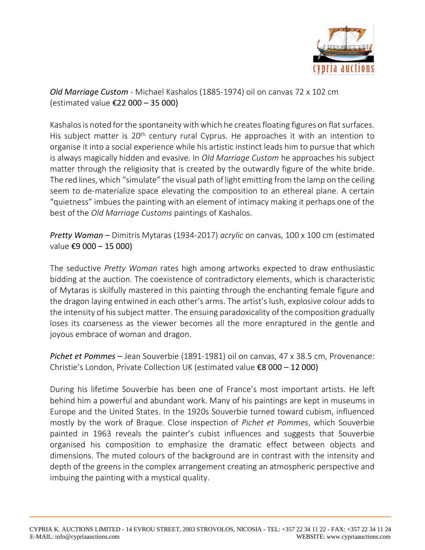

*Old Marriage Custom* - Michael Kashalos (1885-1974) oil on canvas 72 x 102 cm (estimated value €22 000 – 35 000)

Kashalos is noted for the spontaneity with which he creates floating figures on flat surfaces. His subject matter is 20<sup>th</sup> century rural Cyprus. He approaches it with an intention to organise it into a social experience while his artistic instinct leads him to pursue that which is always magically hidden and evasive. In *Old Marriage Custom* he approaches his subject matter through the religiosity that is created by the outwardly figure of the white bride. The red lines, which "simulate" the visual path of light emitting from the lamp on the ceiling seem to de-materialize space elevating the composition to an ethereal plane. A certain "quietness" imbues the painting with an element of intimacy making it perhaps one of the best of the *Old Marriage Customs* paintings of Kashalos.

*Pretty Woman* – Dimitris Mytaras (1934-2017) *acrylic* on canvas, 100 x 100 cm (estimated value €9 000 – 15 000)

The seductive *Pretty Woman* rates high among artworks expected to draw enthusiastic bidding at the auction. The coexistence of contradictory elements, which is characteristic of Mytaras is skilfully mastered in this painting through the enchanting female figure and the dragon laying entwined in each other's arms. The artist's lush, explosive colour adds to the intensity of his subject matter. The ensuing paradoxicality of the composition gradually loses its coarseness as the viewer becomes all the more enraptured in the gentle and joyous embrace of woman and dragon.

*Pichet et Pommes* – Jean Souverbie (1891-1981) oil on canvas, 47 x 38.5 cm, Provenance: Christie's London, Private Collection UK (estimated value €8 000 – 12 000)

During his lifetime Souverbie has been one of France's most important artists. He left behind him a powerful and abundant work. Many of his paintings are kept in museums in Europe and the United States. In the 1920s Souverbie turned toward cubism, influenced mostly by the work of Braque. Close inspection of *Pichet et Pommes*, which Souverbie painted in 1963 reveals the painter's cubist influences and suggests that Souverbie organised his composition to emphasize the dramatic effect between objects and dimensions. The muted colours of the background are in contrast with the intensity and depth of the greens in the complex arrangement creating an atmospheric perspective and imbuing the painting with a mystical quality.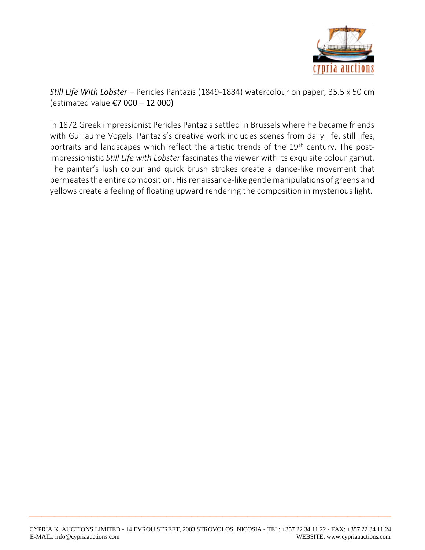

*Still Life With Lobster* – Pericles Pantazis (1849-1884) watercolour on paper, 35.5 x 50 cm (estimated value €7 000 – 12 000)

In 1872 Greek impressionist Pericles Pantazis settled in Brussels where he became friends with Guillaume Vogels. Pantazis's creative work includes scenes from daily life, still lifes, portraits and landscapes which reflect the artistic trends of the 19<sup>th</sup> century. The postimpressionistic *Still Life with Lobster* fascinates the viewer with its exquisite colour gamut. The painter's lush colour and quick brush strokes create a dance-like movement that permeates the entire composition. His renaissance-like gentle manipulations of greens and yellows create a feeling of floating upward rendering the composition in mysterious light.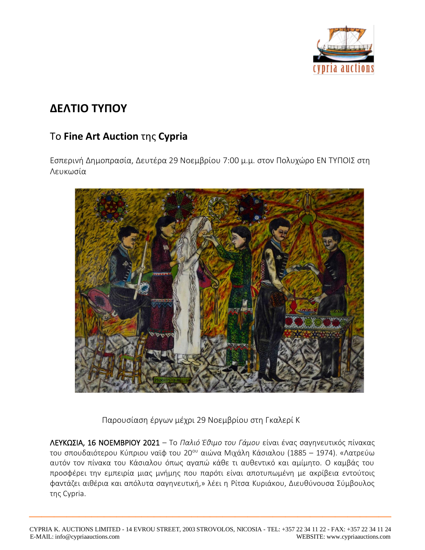

# **ΔΕΛΤΙΟ ΤΥΠΟΥ**

### Το **Fine Art Auction** της **Cypria**

Εσπερινή Δημοπρασία, Δευτέρα 29 Νοεμβρίου 7:00 μ.μ. στον Πολυχώρο ΕΝ ΤΥΠΟΙΣ στη Λευκωσία



Παρουσίαση έργων μέχρι 29 Νοεμβρίου στη Γκαλερί Κ

ΛΕΥΚΩΣΙΑ, 16 ΝΟΕΜΒΡΙΟΥ 2021 – Το *Παλιό Έθιμο του Γάμου* είναι ένας σαγηνευτικός πίνακας του σπουδαιότερου Κύπριου ναϊφ του 20<sup>ου</sup> αιώνα Μιχάλη Κάσιαλου (1885 – 1974). «Λατρεύω αυτόν τον πίνακα του Κάσιαλου όπως αγαπώ κάθε τι αυθεντικό και αμίμητο. Ο καμβάς του προσφέρει την εμπειρία μιας μνήμης που παρότι είναι αποτυπωμένη με ακρίβεια εντούτοις φαντάζει αιθέρια και απόλυτα σαγηνευτική,» λέει η Ρίτσα Κυριάκου, Διευθύνουσα Σύμβουλος της Cypria.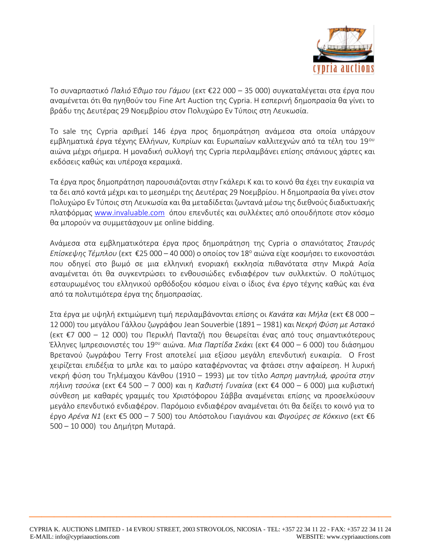

Το συναρπαστικό *Παλιό Έθιμο του Γάμου* (εκτ €22 000 – 35 000) συγκαταλέγεται στα έργα που αναμένεται ότι θα ηγηθούν του Fine Art Auction της Cypria. Η εσπερινή δημοπρασία θα γίνει το βράδυ της Δευτέρας 29 Νοεμβρίου στον Πολυχώρο Εν Τύποις στη Λευκωσία.

Το sale της Cypria αριθμεί 146 έργα προς δημοπράτηση ανάμεσα στα οποία υπάρχουν εμβληματικά έργα τέχνης Ελλήνων, Κυπρίων και Ευρωπαίων καλλιτεχνών από τα τέλη του 19<sup>ου</sup> αιώνα μέχρι σήμερα. Η μοναδική συλλογή της Cypria περιλαμβάνει επίσης σπάνιους χάρτες και εκδόσεις καθώς και υπέροχα κεραμικά.

Τα έργα προς δημοπράτηση παρουσιάζονται στην Γκάλερι Κ και το κοινό θα έχει την ευκαιρία να τα δει από κοντά μέχρι και το μεσημέρι της Δευτέρας 29 Νοεμβρίου. Η δημοπρασία θα γίνει στον Πολυχώρο Εν Τύποις στη Λευκωσία και θα μεταδίδεται ζωντανά μέσω της διεθνούς διαδικτυακής πλατφόρμας [www.invaluable.com](https://www.invaluable.com/auction-house/cypria-auctions-45o5wr14s7) όπου επενδυτές και συλλέκτες από οπουδήποτε στον κόσμο θα μπορούν να συμμετάσχουν με online bidding.

Ανάμεσα στα εμβληματικότερα έργα προς δημοπράτηση της Cypria ο σπανιότατος *Σταυρός Επίσκεψης Τέμπλου* (εκτ €25 000 – 40 000) ο οποίος τον 18<sup>ο</sup> αιώνα είχε κοσμήσει το εικονοστάσι που οδηγεί στο βωμό σε μια ελληνική ενοριακή εκκλησία πιθανότατα στην Μικρά Ασία αναμένεται ότι θα συγκεντρώσει το ενθουσιώδες ενδιαφέρον των συλλεκτών. Ο πολύτιμος εσταυρωμένος του ελληνικού ορθόδοξου κόσμου είναι ο ίδιος ένα έργο τέχνης καθώς και ένα από τα πολυτιμότερα έργα της δημοπρασίας.

Στα έργα με υψηλή εκτιμώμενη τιμή περιλαμβάνονται επίσης οι *Κανάτα και Μήλα* (εκτ €8 000 – 12 000) του μεγάλου Γάλλου ζωγράφου Jean Souverbie (1891 – 1981) και *Νεκρή Φύση με Αστακό* (εκτ €7 000 – 12 000) του Περικλή Πανταζή που θεωρείται ένας από τους σημαντικότερους Έλληνες Ιμπρεσιονιστές του 19ου αιώνα. *Μια Παρτίδα Σκάκι* (εκτ €4 000 – 6 000) του διάσημου Βρετανού ζωγράφου Terry Frost αποτελεί μια εξίσου μεγάλη επενδυτική ευκαιρία. Ο Frost χειρίζεται επιδέξια το μπλε και το μαύρο καταφέρνοντας να φτάσει στην αφαίρεση. Η λυρική νεκρή φύση του Τηλέμαχου Κάνθου (1910 – 1993) με τον τίτλο *Ασπρη μαντηλιά, φρούτα στην πήλινη τσούκα* (εκτ €4 500 – 7 000) και η *Καθιστή Γυναίκα* (εκτ €4 000 – 6 000) μια κυβιστική σύνθεση με καθαρές γραμμές του Χριστόφορου Σάββα αναμένεται επίσης να προσελκύσουν μεγάλο επενδυτικό ενδιαφέρον. Παρόμοιο ενδιαφέρον αναμένεται ότι θα δείξει το κοινό για το έργο *Αρένα Ν1* (εκτ €5 000 – 7 500) του Απόστολου Γιαγιάνου και *Φιγούρες σε Κόκκινο* (εκτ €6 500 – 10 000) του Δημήτρη Μυταρά.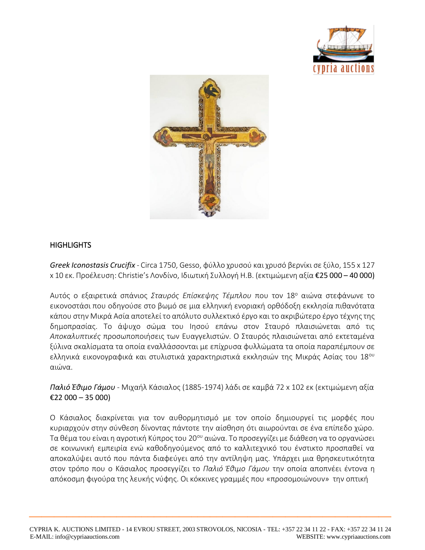



#### **HIGHLIGHTS**

*Greek Iconostasis Crucifix* - Circa 1750, Gesso, φύλλο χρυσού και χρυσό βερνίκι σε ξύλο, 155 x 127 x 10 εκ. Προέλευση: Christie's Λονδίνο, Ιδιωτική Συλλογή Η.Β. (εκτιμώμενη αξία €25 000 – 40 000)

Αυτός ο εξαιρετικά σπάνιος *Σταυρός Επίσκεψης Τέμπλου* που τον 18<sup>ο</sup> αιώνα στεφάνωνε το εικονοστάσι που οδηγούσε στο βωμό σε μια ελληνική ενοριακή ορθόδοξη εκκλησία πιθανότατα κάπου στην Μικρά Ασία αποτελεί το απόλυτο συλλεκτικό έργο και το ακριβώτερο έργο τέχνης της δημοπρασίας. Το άψυχο σώμα του Ιησού επάνω στον Σταυρό πλαισιώνεται από τις *Αποκαλυπτικές* προσωποποιήσεις των Ευαγγελιστών. Ο Σταυρός πλαισιώνεται από εκτεταμένα ξύλινα σκαλίσματα τα οποία εναλλάσσονται με επίχρυσα φυλλώματα τα οποία παραπέμπουν σε ελληνικά εικονογραφικά και στυλιστικά χαρακτηριστικά εκκλησιών της Μικράς Ασίας του 18<sup>ου</sup> αιώνα.

*Παλιό Έθιμο Γάμου* - Μιχαήλ Κάσιαλος (1885-1974) λάδι σε καμβά 72 x 102 εκ (εκτιμώμενη αξία €22 000 – 35 000)

Ο Κάσιαλος διακρίνεται για τον αυθορμητισμό με τον οποίο δημιουργεί τις μορφές που κυριαρχούν στην σύνθεση δίνοντας πάντοτε την αίσθηση ότι αιωρούνται σε ένα επίπεδο χώρο. Τα θέμα του είναι η αγροτική Κύπρος του 20ου αιώνα. Το προσεγγίζει με διάθεση να το οργανώσει σε κοινωνική εμπειρία ενώ καθοδηγούμενος από το καλλιτεχνικό του ένστικτο προσπαθεί να αποκαλύψει αυτό που πάντα διαφεύγει από την αντίληψη μας. Υπάρχει μια θρησκευτικότητα στον τρόπο που ο Κάσιαλος προσεγγίζει το *Παλιό Έθιμο Γάμου* την οποία αποπνέει έντονα η απόκοσμη φιγούρα της λευκής νύφης. Οι κόκκινες γραμμές που «προσομοιώνουν» την οπτική